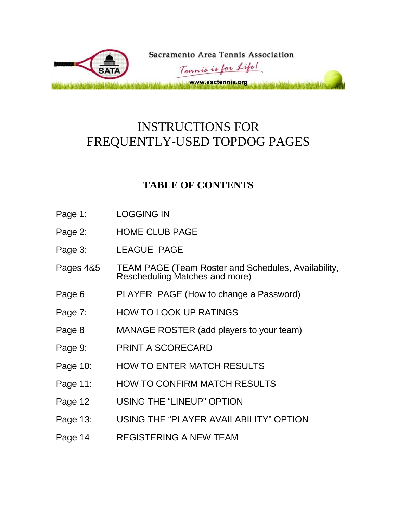

#### INSTRUCTIONS FOR FREQUENTLY-USED TOPDOG PAGES

#### **TABLE OF CONTENTS**

- Page 1: LOGGING IN
- Page 2: HOME CLUB PAGE
- Page 3: LEAGUE PAGE
- Pages 4&5 TEAM PAGE (Team Roster and Schedules, Availability, Rescheduling Matches and more)
- Page 6 PLAYER PAGE (How to change a Password)
- Page 7: HOW TO LOOK UP RATINGS
- Page 8 MANAGE ROSTER (add players to your team)
- Page 9: PRINT A SCORECARD
- Page 10: HOW TO ENTER MATCH RESULTS
- Page 11: HOW TO CONFIRM MATCH RESULTS
- Page 12 USING THE "LINEUP" OPTION
- Page 13: USING THE "PLAYER AVAILABILITY" OPTION
- Page 14 REGISTERING A NEW TEAM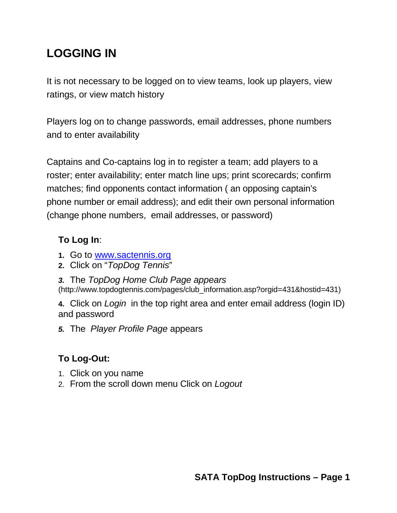## **LOGGING IN**

It is not necessary to be logged on to view teams, look up players, view ratings, or view match history

Players log on to change passwords, email addresses, phone numbers and to enter availability

Captains and Co-captains log in to register a team; add players to a roster; enter availability; enter match line ups; print scorecards; confirm matches; find opponents contact information ( an opposing captain's phone number or email address); and edit their own personal information (change phone numbers, email addresses, or password)

#### **To Log In**:

- **1.** Go to [www.sactennis.org](http://www.sactennis.org/)
- **2.** Click on "*TopDog Tennis*"
- *3.* The *TopDog Home Club Page appears*

(http://www.topdogtennis.com/pages/club\_information.asp?orgid=431&hostid=431)

**4.** Click on *Login* in the top right area and enter email address (login ID) and password

*5.* The *Player Profile Page* appears

#### **To Log-Out:**

- 1. Click on you name
- 2. From the scroll down menu Click on *Logout*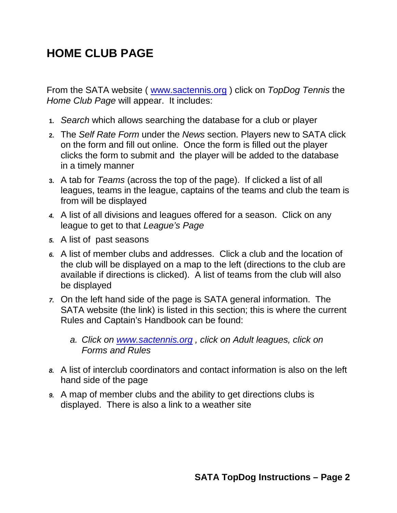## **HOME CLUB PAGE**

From the SATA website ( [www.sactennis.org](http://www.sactennis.org/) ) click on *TopDog Tennis* the *Home Club Page* will appear. It includes:

- **1.** *Search* which allows searching the database for a club or player
- **2.** The *Self Rate Form* under the *News* section. Players new to SATA click on the form and fill out online. Once the form is filled out the player clicks the form to submit and the player will be added to the database in a timely manner
- **3.** A tab for *Teams* (across the top of the page). If clicked a list of all leagues, teams in the league, captains of the teams and club the team is from will be displayed
- *4.* A list of all divisions and leagues offered for a season. Click on any league to get to that *League's Page*
- *5.* A list of past seasons
- *6.* A list of member clubs and addresses. Click a club and the location of the club will be displayed on a map to the left (directions to the club are available if directions is clicked). A list of teams from the club will also be displayed
- *7.* On the left hand side of the page is SATA general information. The SATA website (the link) is listed in this section; this is where the current Rules and Captain's Handbook can be found:
	- *a. Click on [www.sactennis.org](http://www.sactennis.org/) , click on Adult leagues, click on Forms and Rules*
- *8.* A list of interclub coordinators and contact information is also on the left hand side of the page
- *9.* A map of member clubs and the ability to get directions clubs is displayed. There is also a link to a weather site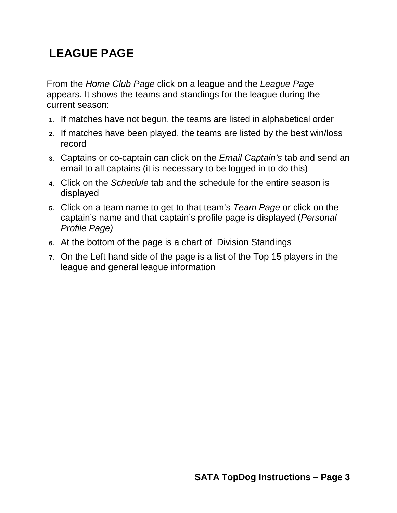## **LEAGUE PAGE**

From the *Home Club Page* click on a league and the *League Page* appears. It shows the teams and standings for the league during the current season:

- **1.** If matches have not begun, the teams are listed in alphabetical order
- **2.** If matches have been played, the teams are listed by the best win/loss record
- **3.** Captains or co-captain can click on the *Email Captain's* tab and send an email to all captains (it is necessary to be logged in to do this)
- **4.** Click on the *Schedule* tab and the schedule for the entire season is displayed
- **5.** Click on a team name to get to that team's *Team Page* or click on the captain's name and that captain's profile page is displayed (*Personal Profile Page)*
- **6.** At the bottom of the page is a chart of Division Standings
- **7.** On the Left hand side of the page is a list of the Top 15 players in the league and general league information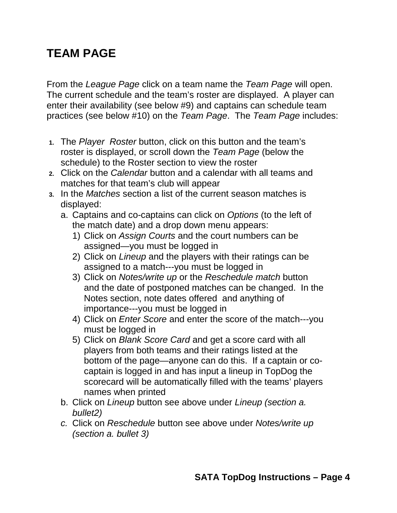### **TEAM PAGE**

From the *League Page* click on a team name the *Team Page* will open. The current schedule and the team's roster are displayed. A player can enter their availability (see below #9) and captains can schedule team practices (see below #10) on the *Team Page*. The *Team Page* includes:

- **1.** The *Player Roster* button, click on this button and the team's roster is displayed, or scroll down the *Team Page* (below the schedule) to the Roster section to view the roster
- **2.** Click on the *Calendar* button and a calendar with all teams and matches for that team's club will appear
- **3.** In the *Matches* section a list of the current season matches is displayed:
	- a. Captains and co-captains can click on *Options* (to the left of the match date) and a drop down menu appears:
		- 1) Click on *Assign Courts* and the court numbers can be assigned—you must be logged in
		- 2) Click on *Lineup* and the players with their ratings can be assigned to a match---you must be logged in
		- 3) Click on *Notes/write up* or the *Reschedule match* button and the date of postponed matches can be changed. In the Notes section, note dates offered and anything of importance---you must be logged in
		- 4) Click on *Enter Score* and enter the score of the match---you must be logged in
		- 5) Click on *Blank Score Card* and get a score card with all players from both teams and their ratings listed at the bottom of the page—anyone can do this. If a captain or cocaptain is logged in and has input a lineup in TopDog the scorecard will be automatically filled with the teams' players names when printed
	- b. Click on *Lineup* button see above under *Lineup (section a. bullet2)*
	- *c.* Click on *Reschedule* button see above under *Notes/write up (section a. bullet 3)*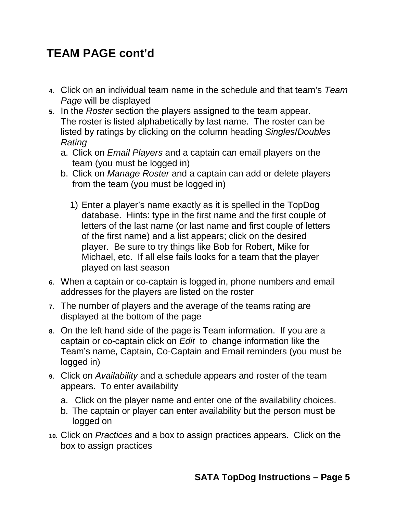#### **TEAM PAGE cont'd**

- **4.** Click on an individual team name in the schedule and that team's *Team Page* will be displayed
- **5.** In the *Roster* section the players assigned to the team appear. The roster is listed alphabetically by last name. The roster can be listed by ratings by clicking on the column heading *Singles*/*Doubles Rating*
	- a. Click on *Email Players* and a captain can email players on the team (you must be logged in)
	- b. Click on *Manage Roster* and a captain can add or delete players from the team (you must be logged in)
		- 1) Enter a player's name exactly as it is spelled in the TopDog database. Hints: type in the first name and the first couple of letters of the last name (or last name and first couple of letters of the first name) and a list appears; click on the desired player. Be sure to try things like Bob for Robert, Mike for Michael, etc. If all else fails looks for a team that the player played on last season
- **6.** When a captain or co-captain is logged in, phone numbers and email addresses for the players are listed on the roster
- **7.** The number of players and the average of the teams rating are displayed at the bottom of the page
- **8.** On the left hand side of the page is Team information. If you are a captain or co-captain click on *Edit* to change information like the Team's name, Captain, Co-Captain and Email reminders (you must be logged in)
- **9.** Click on *Availability* and a schedule appears and roster of the team appears. To enter availability
	- a. Click on the player name and enter one of the availability choices.
	- b. The captain or player can enter availability but the person must be logged on
- **10.** Click on *Practices* and a box to assign practices appears. Click on the box to assign practices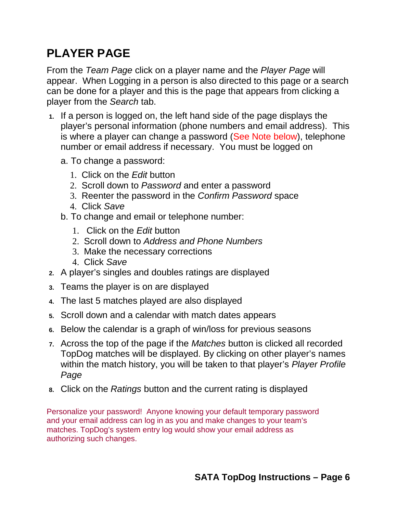## **PLAYER PAGE**

From the *Team Page* click on a player name and the *Player Page* will appear. When Logging in a person is also directed to this page or a search can be done for a player and this is the page that appears from clicking a player from the *Search* tab.

- **1.** If a person is logged on, the left hand side of the page displays the player's personal information (phone numbers and email address). This is where a player can change a password (See Note below), telephone number or email address if necessary. You must be logged on
	- a. To change a password:
		- 1. Click on the *Edit* button
		- 2. Scroll down to *Password* and enter a password
		- 3. Reenter the password in the *Confirm Password* space
		- 4. Click *Save*
	- b. To change and email or telephone number:
		- 1. Click on the *Edit* button
		- 2. Scroll down to *Address and Phone Numbers*
		- 3. Make the necessary corrections
		- 4. Click *Save*
- **2.** A player's singles and doubles ratings are displayed
- **3.** Teams the player is on are displayed
- **4.** The last 5 matches played are also displayed
- **5.** Scroll down and a calendar with match dates appears
- **6.** Below the calendar is a graph of win/loss for previous seasons
- **7.** Across the top of the page if the *Matches* button is clicked all recorded TopDog matches will be displayed. By clicking on other player's names within the match history, you will be taken to that player's *Player Profile Page*
- **8.** Click on the *Ratings* button and the current rating is displayed

Personalize your password! Anyone knowing your default temporary password and your email address can log in as you and make changes to your team's matches. TopDog's system entry log would show your email address as authorizing such changes.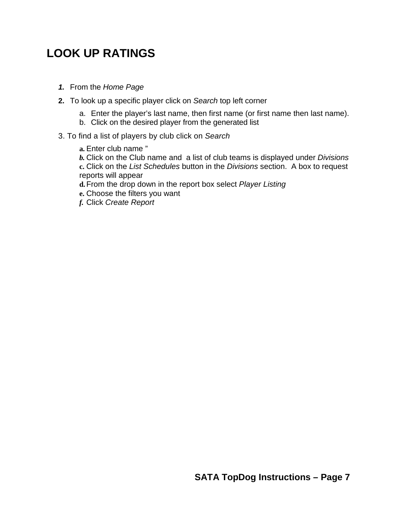#### **LOOK UP RATINGS**

- *1.* From the *Home Page*
- **2.** To look up a specific player click on *Search* top left corner
	- a. Enter the player's last name, then first name (or first name then last name).
	- b. Click on the desired player from the generated list
- 3. To find a list of players by club click on *Search*
	- **a.** Enter club name "
	- *b.* Click on the Club name and a list of club teams is displayed under *Divisions* **c.** Click on the *List Schedules* button in the *Divisions* section. A box to request reports will appear
	- **d.**From the drop down in the report box select *Player Listing*
	- **e.** Choose the filters you want
	- *f.* Click *Create Report*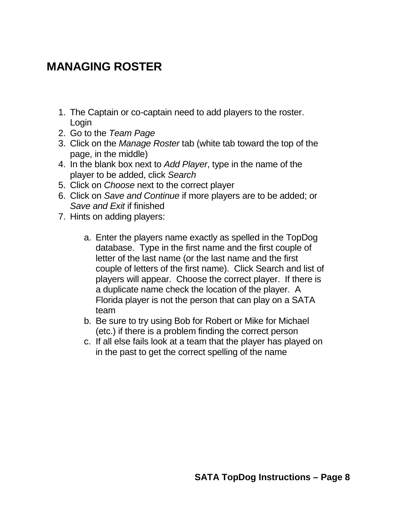#### **MANAGING ROSTER**

- 1. The Captain or co-captain need to add players to the roster. Login
- 2. Go to the *Team Page*
- 3. Click on the *Manage Roster* tab (white tab toward the top of the page, in the middle)
- 4. In the blank box next to *Add Player*, type in the name of the player to be added, click *Search*
- 5. Click on *Choose* next to the correct player
- 6. Click on *Save and Continue* if more players are to be added; or *Save and Exit* if finished
- 7. Hints on adding players:
	- a. Enter the players name exactly as spelled in the TopDog database. Type in the first name and the first couple of letter of the last name (or the last name and the first couple of letters of the first name). Click Search and list of players will appear. Choose the correct player. If there is a duplicate name check the location of the player. A Florida player is not the person that can play on a SATA team
	- b. Be sure to try using Bob for Robert or Mike for Michael (etc.) if there is a problem finding the correct person
	- c. If all else fails look at a team that the player has played on in the past to get the correct spelling of the name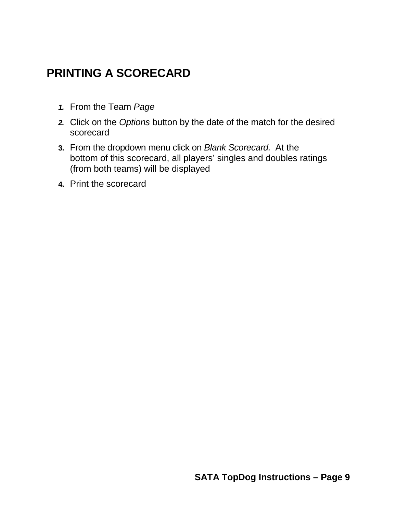#### **PRINTING A SCORECARD**

- *1.* From the Team *Page*
- *2.* Click on the *Options* button by the date of the match for the desired scorecard
- **3.** From the dropdown menu click on *Blank Scorecard.* At the bottom of this scorecard, all players' singles and doubles ratings (from both teams) will be displayed
- **4.** Print the scorecard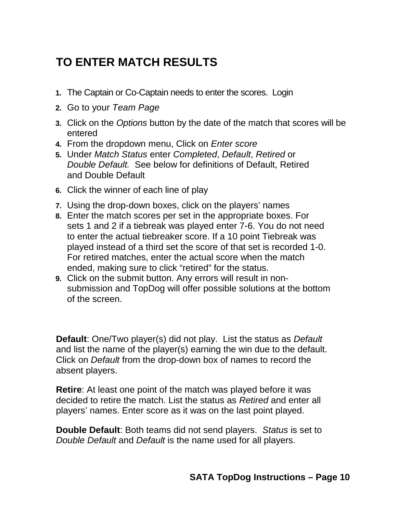# **TO ENTER MATCH RESULTS**

- **1.** The Captain or Co-Captain needs to enter the scores. Login
- **2.** Go to your *Team Page*
- **3.** Click on the *Options* button by the date of the match that scores will be entered
- **4.** From the dropdown menu, Click on *Enter score*
- **5.** Under *Match Status* enter *Completed*, *Default*, *Retired* or *Double Default.* See below for definitions of Default, Retired and Double Default
- **6.** Click the winner of each line of play
- **7.** Using the drop-down boxes, click on the players' names
- **8.** Enter the match scores per set in the appropriate boxes. For sets 1 and 2 if a tiebreak was played enter 7-6. You do not need to enter the actual tiebreaker score. If a 10 point Tiebreak was played instead of a third set the score of that set is recorded 1-0. For retired matches, enter the actual score when the match ended, making sure to click "retired" for the status.
- **9.** Click on the submit button. Any errors will result in nonsubmission and TopDog will offer possible solutions at the bottom of the screen.

**Default**: One/Two player(s) did not play. List the status as *Default* and list the name of the player(s) earning the win due to the default. Click on *Default* from the drop-down box of names to record the absent players.

**Retire**: At least one point of the match was played before it was decided to retire the match. List the status as *Retired* and enter all players' names. Enter score as it was on the last point played.

**Double Default**: Both teams did not send players. *Status* is set to *Double Default* and *Default* is the name used for all players.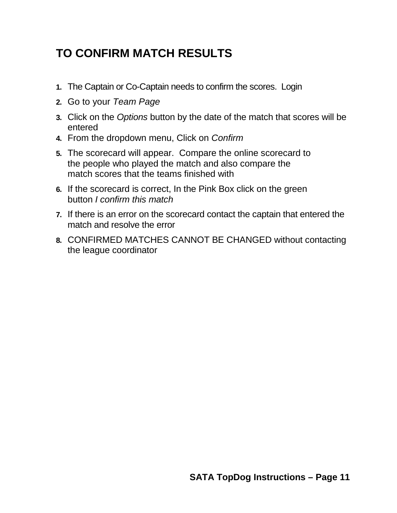## **TO CONFIRM MATCH RESULTS**

- **1.** The Captain or Co-Captain needs to confirm the scores. Login
- **2.** Go to your *Team Page*
- **3.** Click on the *Options* button by the date of the match that scores will be entered
- **4.** From the dropdown menu, Click on *Confirm*
- **5.** The scorecard will appear. Compare the online scorecard to the people who played the match and also compare the match scores that the teams finished with
- **6.** If the scorecard is correct, In the Pink Box click on the green button *I confirm this match*
- **7.** If there is an error on the scorecard contact the captain that entered the match and resolve the error
- **8.** CONFIRMED MATCHES CANNOT BE CHANGED without contacting the league coordinator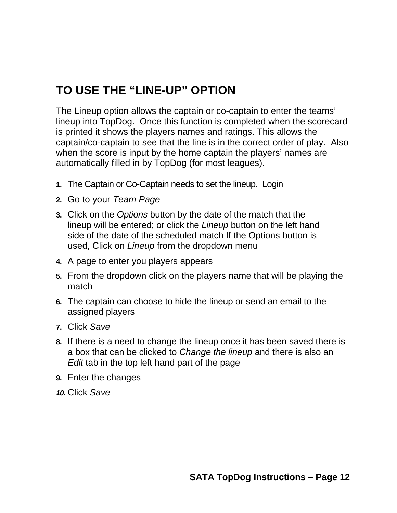## **TO USE THE "LINE-UP" OPTION**

The Lineup option allows the captain or co-captain to enter the teams' lineup into TopDog. Once this function is completed when the scorecard is printed it shows the players names and ratings. This allows the captain/co-captain to see that the line is in the correct order of play. Also when the score is input by the home captain the players' names are automatically filled in by TopDog (for most leagues).

- **1.** The Captain or Co-Captain needs to set the lineup. Login
- **2.** Go to your *Team Page*
- **3.** Click on the *Options* button by the date of the match that the lineup will be entered; or click the *Lineup* button on the left hand side of the date of the scheduled match If the Options button is used, Click on *Lineup* from the dropdown menu
- **4.** A page to enter you players appears
- **5.** From the dropdown click on the players name that will be playing the match
- **6.** The captain can choose to hide the lineup or send an email to the assigned players
- **7.** Click *Save*
- **8.** If there is a need to change the lineup once it has been saved there is a box that can be clicked to *Change the lineup* and there is also an *Edit* tab in the top left hand part of the page
- **9.** Enter the changes
- *10.* Click *Save*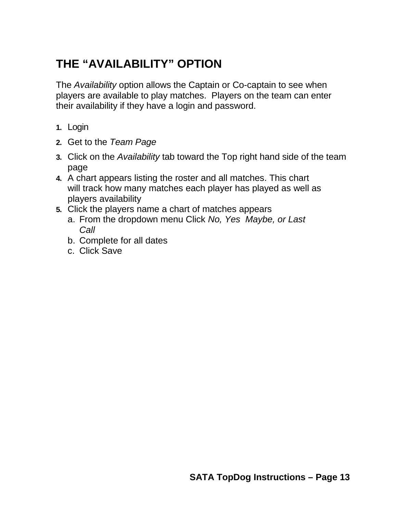## **THE "AVAILABILITY" OPTION**

The *Availability* option allows the Captain or Co-captain to see when players are available to play matches. Players on the team can enter their availability if they have a login and password.

- **1.** Login
- **2.** Get to the *Team Page*
- **3.** Click on the *Availability* tab toward the Top right hand side of the team page
- **4.** A chart appears listing the roster and all matches. This chart will track how many matches each player has played as well as players availability
- **5.** Click the players name a chart of matches appears
	- a. From the dropdown menu Click *No, Yes Maybe, or Last Call*
	- b. Complete for all dates
	- c. Click Save